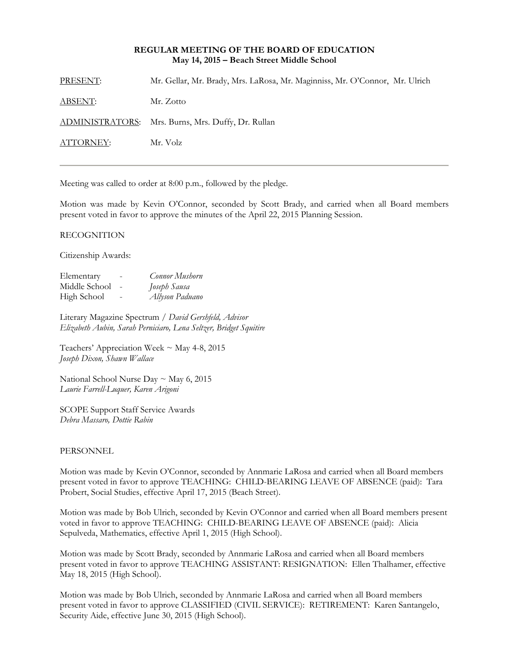### **REGULAR MEETING OF THE BOARD OF EDUCATION May 14, 2015 – Beach Street Middle School**

| PRESENT:       | Mr. Gellar, Mr. Brady, Mrs. LaRosa, Mr. Maginniss, Mr. O'Connor, Mr. Ulrich |
|----------------|-----------------------------------------------------------------------------|
| <u>ABSENT:</u> | Mr. Zotto                                                                   |
|                | ADMINISTRATORS: Mrs. Burns, Mrs. Duffy, Dr. Rullan                          |
| ATTORNEY:      | Mr. Volz                                                                    |
|                |                                                                             |

Meeting was called to order at 8:00 p.m., followed by the pledge.

Motion was made by Kevin O'Connor, seconded by Scott Brady, and carried when all Board members present voted in favor to approve the minutes of the April 22, 2015 Planning Session.

### RECOGNITION

Citizenship Awards:

| Elementary    |                          | Connor Mushorn  |
|---------------|--------------------------|-----------------|
| Middle School | $\overline{\phantom{a}}$ | Joseph Sausa    |
| High School   | $\overline{\phantom{0}}$ | Allyson Paduano |

Literary Magazine Spectrum / *David Gershfeld, Advisor Elizabeth Aubin, Sarah Perniciaro, Lena Seltzer, Bridget Squitire* 

Teachers' Appreciation Week ~ May 4-8, 2015 *Joseph Dixon, Shawn Wallace* 

National School Nurse Day  $\sim$  May 6, 2015 *Laurie Farrell-Luquer, Karen Arigoni* 

SCOPE Support Staff Service Awards *Debra Massaro, Dottie Rabin* 

#### PERSONNEL

Motion was made by Kevin O'Connor, seconded by Annmarie LaRosa and carried when all Board members present voted in favor to approve TEACHING: CHILD-BEARING LEAVE OF ABSENCE (paid): Tara Probert, Social Studies, effective April 17, 2015 (Beach Street).

Motion was made by Bob Ulrich, seconded by Kevin O'Connor and carried when all Board members present voted in favor to approve TEACHING: CHILD-BEARING LEAVE OF ABSENCE (paid): Alicia Sepulveda, Mathematics, effective April 1, 2015 (High School).

Motion was made by Scott Brady, seconded by Annmarie LaRosa and carried when all Board members present voted in favor to approve TEACHING ASSISTANT: RESIGNATION: Ellen Thalhamer, effective May 18, 2015 (High School).

Motion was made by Bob Ulrich, seconded by Annmarie LaRosa and carried when all Board members present voted in favor to approve CLASSIFIED (CIVIL SERVICE): RETIREMENT: Karen Santangelo, Security Aide, effective June 30, 2015 (High School).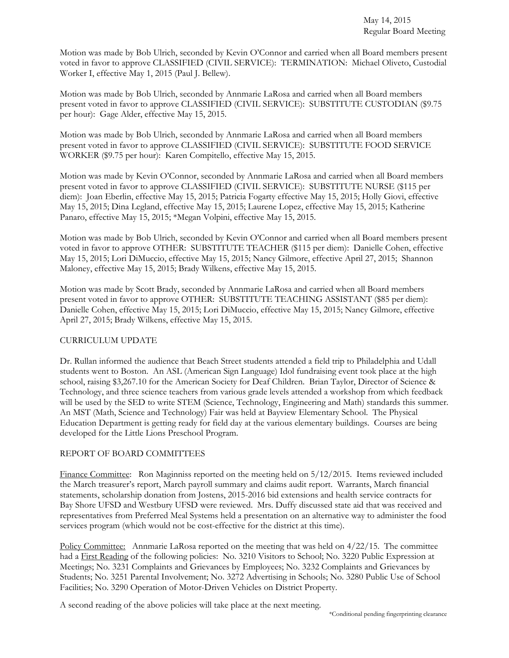Motion was made by Bob Ulrich, seconded by Kevin O'Connor and carried when all Board members present voted in favor to approve CLASSIFIED (CIVIL SERVICE): TERMINATION: Michael Oliveto, Custodial Worker I, effective May 1, 2015 (Paul J. Bellew).

Motion was made by Bob Ulrich, seconded by Annmarie LaRosa and carried when all Board members present voted in favor to approve CLASSIFIED (CIVIL SERVICE): SUBSTITUTE CUSTODIAN (\$9.75 per hour): Gage Alder, effective May 15, 2015.

Motion was made by Bob Ulrich, seconded by Annmarie LaRosa and carried when all Board members present voted in favor to approve CLASSIFIED (CIVIL SERVICE): SUBSTITUTE FOOD SERVICE WORKER (\$9.75 per hour): Karen Compitello, effective May 15, 2015.

Motion was made by Kevin O'Connor, seconded by Annmarie LaRosa and carried when all Board members present voted in favor to approve CLASSIFIED (CIVIL SERVICE): SUBSTITUTE NURSE (\$115 per diem): Joan Eberlin, effective May 15, 2015; Patricia Fogarty effective May 15, 2015; Holly Giovi, effective May 15, 2015; Dina Legland, effective May 15, 2015; Laurene Lopez, effective May 15, 2015; Katherine Panaro, effective May 15, 2015; \*Megan Volpini, effective May 15, 2015.

Motion was made by Bob Ulrich, seconded by Kevin O'Connor and carried when all Board members present voted in favor to approve OTHER: SUBSTITUTE TEACHER (\$115 per diem): Danielle Cohen, effective May 15, 2015; Lori DiMuccio, effective May 15, 2015; Nancy Gilmore, effective April 27, 2015; Shannon Maloney, effective May 15, 2015; Brady Wilkens, effective May 15, 2015.

Motion was made by Scott Brady, seconded by Annmarie LaRosa and carried when all Board members present voted in favor to approve OTHER: SUBSTITUTE TEACHING ASSISTANT (\$85 per diem): Danielle Cohen, effective May 15, 2015; Lori DiMuccio, effective May 15, 2015; Nancy Gilmore, effective April 27, 2015; Brady Wilkens, effective May 15, 2015.

# CURRICULUM UPDATE

Dr. Rullan informed the audience that Beach Street students attended a field trip to Philadelphia and Udall students went to Boston. An ASL (American Sign Language) Idol fundraising event took place at the high school, raising \$3,267.10 for the American Society for Deaf Children. Brian Taylor, Director of Science & Technology, and three science teachers from various grade levels attended a workshop from which feedback will be used by the SED to write STEM (Science, Technology, Engineering and Math) standards this summer. An MST (Math, Science and Technology) Fair was held at Bayview Elementary School. The Physical Education Department is getting ready for field day at the various elementary buildings. Courses are being developed for the Little Lions Preschool Program.

# REPORT OF BOARD COMMITTEES

Finance Committee: Ron Maginniss reported on the meeting held on 5/12/2015. Items reviewed included the March treasurer's report, March payroll summary and claims audit report. Warrants, March financial statements, scholarship donation from Jostens, 2015-2016 bid extensions and health service contracts for Bay Shore UFSD and Westbury UFSD were reviewed. Mrs. Duffy discussed state aid that was received and representatives from Preferred Meal Systems held a presentation on an alternative way to administer the food services program (which would not be cost-effective for the district at this time).

Policy Committee: Annmarie LaRosa reported on the meeting that was held on 4/22/15. The committee had a First Reading of the following policies: No. 3210 Visitors to School; No. 3220 Public Expression at Meetings; No. 3231 Complaints and Grievances by Employees; No. 3232 Complaints and Grievances by Students; No. 3251 Parental Involvement; No. 3272 Advertising in Schools; No. 3280 Public Use of School Facilities; No. 3290 Operation of Motor-Driven Vehicles on District Property.

A second reading of the above policies will take place at the next meeting.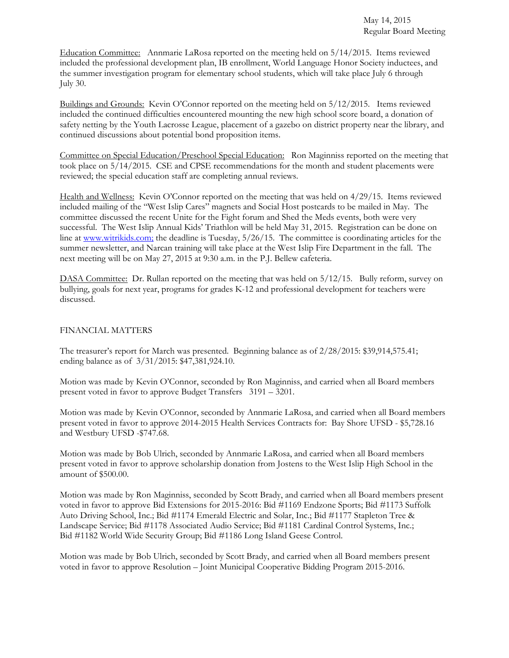Education Committee: Annmarie LaRosa reported on the meeting held on 5/14/2015. Items reviewed included the professional development plan, IB enrollment, World Language Honor Society inductees, and the summer investigation program for elementary school students, which will take place July 6 through July 30.

Buildings and Grounds: Kevin O'Connor reported on the meeting held on 5/12/2015. Items reviewed included the continued difficulties encountered mounting the new high school score board, a donation of safety netting by the Youth Lacrosse League, placement of a gazebo on district property near the library, and continued discussions about potential bond proposition items.

Committee on Special Education/Preschool Special Education: Ron Maginniss reported on the meeting that took place on 5/14/2015. CSE and CPSE recommendations for the month and student placements were reviewed; the special education staff are completing annual reviews.

Health and Wellness: Kevin O'Connor reported on the meeting that was held on 4/29/15. Items reviewed included mailing of the "West Islip Cares" magnets and Social Host postcards to be mailed in May. The committee discussed the recent Unite for the Fight forum and Shed the Meds events, both were very successful. The West Islip Annual Kids' Triathlon will be held May 31, 2015. Registration can be done on line at www.witrikids.com; the deadline is Tuesday, 5/26/15. The committee is coordinating articles for the summer newsletter, and Narcan training will take place at the West Islip Fire Department in the fall. The next meeting will be on May 27, 2015 at 9:30 a.m. in the P.J. Bellew cafeteria.

DASA Committee: Dr. Rullan reported on the meeting that was held on 5/12/15. Bully reform, survey on bullying, goals for next year, programs for grades K-12 and professional development for teachers were discussed.

# FINANCIAL MATTERS

The treasurer's report for March was presented. Beginning balance as of 2/28/2015: \$39,914,575.41; ending balance as of 3/31/2015: \$47,381,924.10.

Motion was made by Kevin O'Connor, seconded by Ron Maginniss, and carried when all Board members present voted in favor to approve Budget Transfers 3191 – 3201.

Motion was made by Kevin O'Connor, seconded by Annmarie LaRosa, and carried when all Board members present voted in favor to approve 2014-2015 Health Services Contracts for: Bay Shore UFSD - \$5,728.16 and Westbury UFSD -\$747.68.

Motion was made by Bob Ulrich, seconded by Annmarie LaRosa, and carried when all Board members present voted in favor to approve scholarship donation from Jostens to the West Islip High School in the amount of \$500.00.

Motion was made by Ron Maginniss, seconded by Scott Brady, and carried when all Board members present voted in favor to approve Bid Extensions for 2015-2016: Bid #1169 Endzone Sports; Bid #1173 Suffolk Auto Driving School, Inc.; Bid #1174 Emerald Electric and Solar, Inc.; Bid #1177 Stapleton Tree & Landscape Service; Bid #1178 Associated Audio Service; Bid #1181 Cardinal Control Systems, Inc.; Bid #1182 World Wide Security Group; Bid #1186 Long Island Geese Control.

Motion was made by Bob Ulrich, seconded by Scott Brady, and carried when all Board members present voted in favor to approve Resolution – Joint Municipal Cooperative Bidding Program 2015-2016.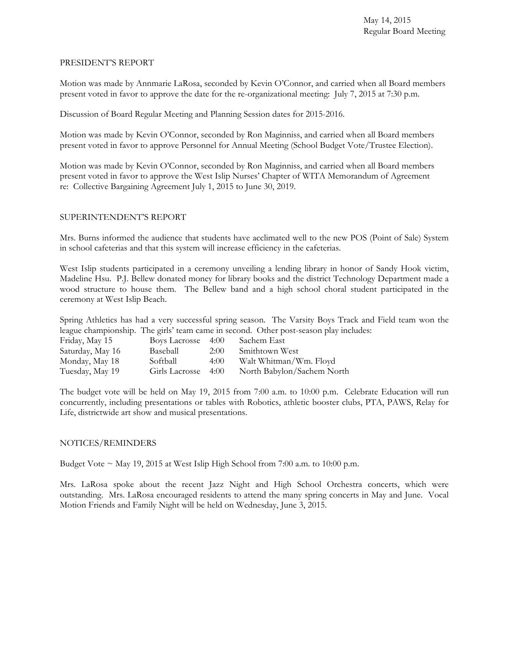### PRESIDENT'S REPORT

Motion was made by Annmarie LaRosa, seconded by Kevin O'Connor, and carried when all Board members present voted in favor to approve the date for the re-organizational meeting: July 7, 2015 at 7:30 p.m.

Discussion of Board Regular Meeting and Planning Session dates for 2015-2016.

Motion was made by Kevin O'Connor, seconded by Ron Maginniss, and carried when all Board members present voted in favor to approve Personnel for Annual Meeting (School Budget Vote/Trustee Election).

Motion was made by Kevin O'Connor, seconded by Ron Maginniss, and carried when all Board members present voted in favor to approve the West Islip Nurses' Chapter of WITA Memorandum of Agreement re: Collective Bargaining Agreement July 1, 2015 to June 30, 2019.

# SUPERINTENDENT'S REPORT

Mrs. Burns informed the audience that students have acclimated well to the new POS (Point of Sale) System in school cafeterias and that this system will increase efficiency in the cafeterias.

West Islip students participated in a ceremony unveiling a lending library in honor of Sandy Hook victim, Madeline Hsu. P.J. Bellew donated money for library books and the district Technology Department made a wood structure to house them. The Bellew band and a high school choral student participated in the ceremony at West Islip Beach.

Spring Athletics has had a very successful spring season. The Varsity Boys Track and Field team won the league championship. The girls' team came in second. Other post-season play includes:

| Friday, May 15   | Boys Lacrosse 4:00  |      | Sachem East                |
|------------------|---------------------|------|----------------------------|
| Saturday, May 16 | Baseball            | 2:00 | Smithtown West             |
| Monday, May 18   | Softball            | 4:00 | Walt Whitman/Wm. Floyd     |
| Tuesday, May 19  | Girls Lacrosse 4:00 |      | North Babylon/Sachem North |

The budget vote will be held on May 19, 2015 from 7:00 a.m. to 10:00 p.m. Celebrate Education will run concurrently, including presentations or tables with Robotics, athletic booster clubs, PTA, PAWS, Relay for Life, districtwide art show and musical presentations.

# NOTICES/REMINDERS

Budget Vote  $\sim$  May 19, 2015 at West Islip High School from 7:00 a.m. to 10:00 p.m.

Mrs. LaRosa spoke about the recent Jazz Night and High School Orchestra concerts, which were outstanding. Mrs. LaRosa encouraged residents to attend the many spring concerts in May and June. Vocal Motion Friends and Family Night will be held on Wednesday, June 3, 2015.